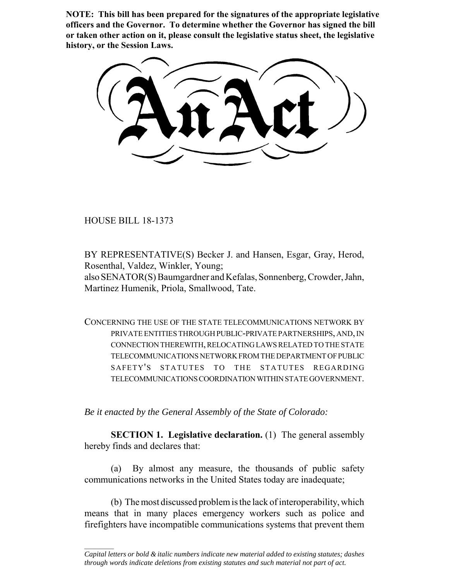**NOTE: This bill has been prepared for the signatures of the appropriate legislative officers and the Governor. To determine whether the Governor has signed the bill or taken other action on it, please consult the legislative status sheet, the legislative history, or the Session Laws.**

HOUSE BILL 18-1373

 $\frac{1}{2}$ 

BY REPRESENTATIVE(S) Becker J. and Hansen, Esgar, Gray, Herod, Rosenthal, Valdez, Winkler, Young;

also SENATOR(S) Baumgardner and Kefalas, Sonnenberg, Crowder, Jahn, Martinez Humenik, Priola, Smallwood, Tate.

CONCERNING THE USE OF THE STATE TELECOMMUNICATIONS NETWORK BY PRIVATE ENTITIES THROUGH PUBLIC-PRIVATE PARTNERSHIPS, AND, IN CONNECTION THEREWITH, RELOCATING LAWS RELATED TO THE STATE TELECOMMUNICATIONS NETWORK FROM THE DEPARTMENT OF PUBLIC SAFETY'S STATUTES TO THE STATUTES REGARDING TELECOMMUNICATIONS COORDINATION WITHIN STATE GOVERNMENT.

*Be it enacted by the General Assembly of the State of Colorado:*

**SECTION 1. Legislative declaration.** (1) The general assembly hereby finds and declares that:

(a) By almost any measure, the thousands of public safety communications networks in the United States today are inadequate;

(b) The most discussed problem is the lack of interoperability, which means that in many places emergency workers such as police and firefighters have incompatible communications systems that prevent them

*Capital letters or bold & italic numbers indicate new material added to existing statutes; dashes through words indicate deletions from existing statutes and such material not part of act.*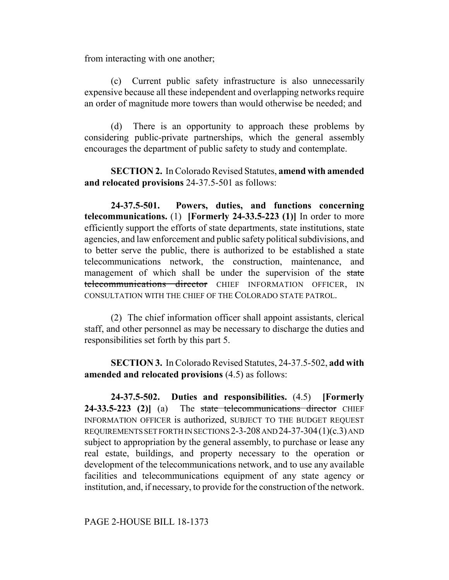from interacting with one another;

(c) Current public safety infrastructure is also unnecessarily expensive because all these independent and overlapping networks require an order of magnitude more towers than would otherwise be needed; and

(d) There is an opportunity to approach these problems by considering public-private partnerships, which the general assembly encourages the department of public safety to study and contemplate.

**SECTION 2.** In Colorado Revised Statutes, **amend with amended and relocated provisions** 24-37.5-501 as follows:

**24-37.5-501. Powers, duties, and functions concerning telecommunications.** (1) **[Formerly 24-33.5-223 (1)]** In order to more efficiently support the efforts of state departments, state institutions, state agencies, and law enforcement and public safety political subdivisions, and to better serve the public, there is authorized to be established a state telecommunications network, the construction, maintenance, and management of which shall be under the supervision of the state telecommunications director CHIEF INFORMATION OFFICER, IN CONSULTATION WITH THE CHIEF OF THE COLORADO STATE PATROL.

(2) The chief information officer shall appoint assistants, clerical staff, and other personnel as may be necessary to discharge the duties and responsibilities set forth by this part 5.

**SECTION 3.** In Colorado Revised Statutes, 24-37.5-502, **add with amended and relocated provisions** (4.5) as follows:

**24-37.5-502. Duties and responsibilities.** (4.5) **[Formerly** 24-33.5-223 (2)] (a) The state telecommunications director CHIEF INFORMATION OFFICER is authorized, SUBJECT TO THE BUDGET REQUEST REQUIREMENTS SET FORTH IN SECTIONS 2-3-208 AND 24-37-304(1)(c.3) AND subject to appropriation by the general assembly, to purchase or lease any real estate, buildings, and property necessary to the operation or development of the telecommunications network, and to use any available facilities and telecommunications equipment of any state agency or institution, and, if necessary, to provide for the construction of the network.

PAGE 2-HOUSE BILL 18-1373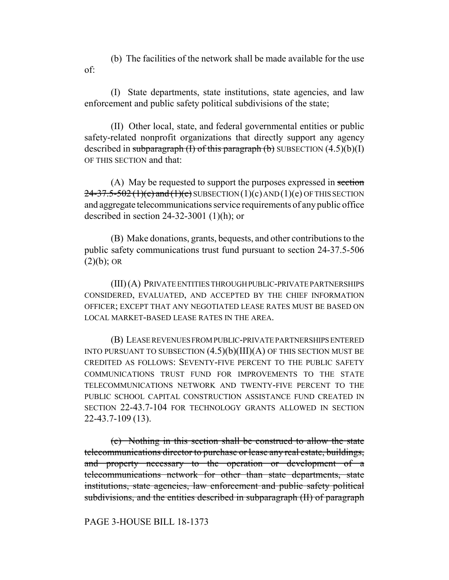(b) The facilities of the network shall be made available for the use of:

(I) State departments, state institutions, state agencies, and law enforcement and public safety political subdivisions of the state;

(II) Other local, state, and federal governmental entities or public safety-related nonprofit organizations that directly support any agency described in subparagraph (I) of this paragraph (b) SUBSECTION  $(4.5)(b)(I)$ OF THIS SECTION and that:

(A) May be requested to support the purposes expressed in section  $24-37.5-502(1)(c)$  and  $(1)(e)$  SUBSECTION  $(1)(c)$  AND  $(1)(e)$  OF THIS SECTION and aggregate telecommunications service requirements of any public office described in section 24-32-3001 (1)(h); or

(B) Make donations, grants, bequests, and other contributions to the public safety communications trust fund pursuant to section 24-37.5-506  $(2)(b)$ ; OR

(III) (A) PRIVATE ENTITIES THROUGH PUBLIC-PRIVATE PARTNERSHIPS CONSIDERED, EVALUATED, AND ACCEPTED BY THE CHIEF INFORMATION OFFICER; EXCEPT THAT ANY NEGOTIATED LEASE RATES MUST BE BASED ON LOCAL MARKET-BASED LEASE RATES IN THE AREA.

(B) LEASE REVENUES FROM PUBLIC-PRIVATE PARTNERSHIPS ENTERED INTO PURSUANT TO SUBSECTION  $(4.5)(b)(III)(A)$  OF THIS SECTION MUST BE CREDITED AS FOLLOWS: SEVENTY-FIVE PERCENT TO THE PUBLIC SAFETY COMMUNICATIONS TRUST FUND FOR IMPROVEMENTS TO THE STATE TELECOMMUNICATIONS NETWORK AND TWENTY-FIVE PERCENT TO THE PUBLIC SCHOOL CAPITAL CONSTRUCTION ASSISTANCE FUND CREATED IN SECTION 22-43.7-104 FOR TECHNOLOGY GRANTS ALLOWED IN SECTION 22-43.7-109 (13).

(c) Nothing in this section shall be construed to allow the state telecommunications director to purchase or lease any real estate, buildings, and property necessary to the operation or development of a telecommunications network for other than state departments, state institutions, state agencies, law enforcement and public safety political subdivisions, and the entities described in subparagraph (II) of paragraph

PAGE 3-HOUSE BILL 18-1373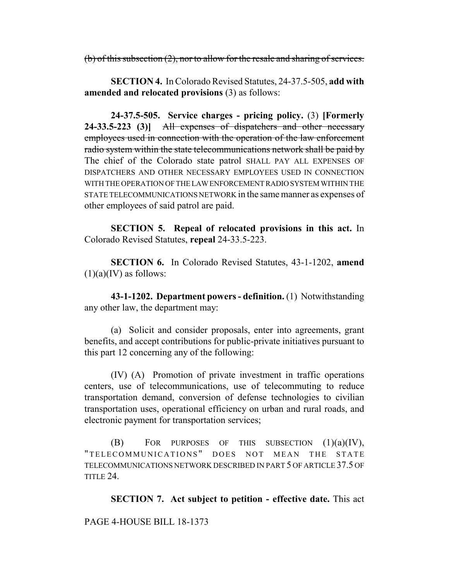(b) of this subsection (2), nor to allow for the resale and sharing of services.

**SECTION 4.** In Colorado Revised Statutes, 24-37.5-505, **add with amended and relocated provisions** (3) as follows:

**24-37.5-505. Service charges - pricing policy.** (3) **[Formerly 24-33.5-223 (3)]** All expenses of dispatchers and other necessary employees used in connection with the operation of the law enforcement radio system within the state telecommunications network shall be paid by The chief of the Colorado state patrol SHALL PAY ALL EXPENSES OF DISPATCHERS AND OTHER NECESSARY EMPLOYEES USED IN CONNECTION WITH THE OPERATION OF THE LAW ENFORCEMENT RADIO SYSTEM WITHIN THE STATE TELECOMMUNICATIONS NETWORK in the same manner as expenses of other employees of said patrol are paid.

**SECTION 5. Repeal of relocated provisions in this act.** In Colorado Revised Statutes, **repeal** 24-33.5-223.

**SECTION 6.** In Colorado Revised Statutes, 43-1-1202, **amend**  $(1)(a)(IV)$  as follows:

**43-1-1202. Department powers - definition.** (1) Notwithstanding any other law, the department may:

(a) Solicit and consider proposals, enter into agreements, grant benefits, and accept contributions for public-private initiatives pursuant to this part 12 concerning any of the following:

(IV) (A) Promotion of private investment in traffic operations centers, use of telecommunications, use of telecommuting to reduce transportation demand, conversion of defense technologies to civilian transportation uses, operational efficiency on urban and rural roads, and electronic payment for transportation services;

 $(B)$  FOR PURPOSES OF THIS SUBSECTION  $(1)(a)(IV)$ , "TELECOMMUNICATIONS " DOES NOT MEAN THE STATE TELECOMMUNICATIONS NETWORK DESCRIBED IN PART 5 OF ARTICLE 37.5 OF TITLE 24.

**SECTION 7. Act subject to petition - effective date.** This act

PAGE 4-HOUSE BILL 18-1373